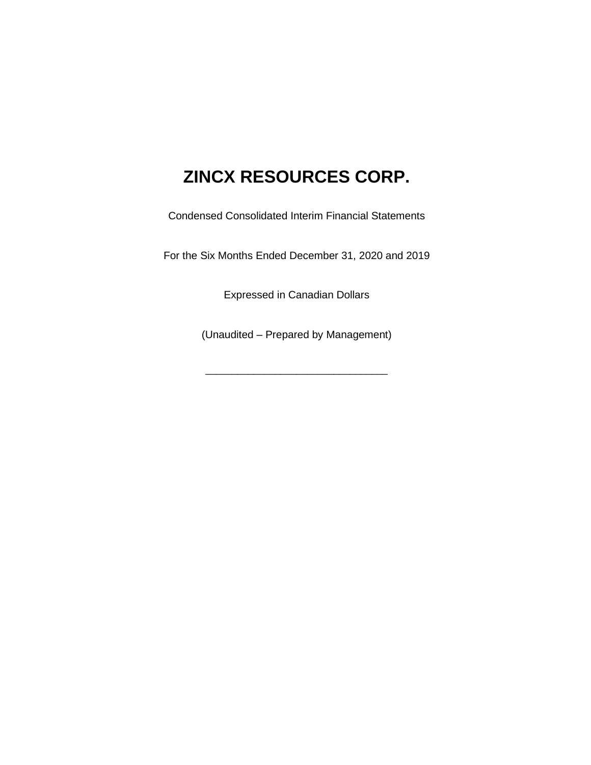Condensed Consolidated Interim Financial Statements

For the Six Months Ended December 31, 2020 and 2019

Expressed in Canadian Dollars

(Unaudited – Prepared by Management)

\_\_\_\_\_\_\_\_\_\_\_\_\_\_\_\_\_\_\_\_\_\_\_\_\_\_\_\_\_\_\_\_\_\_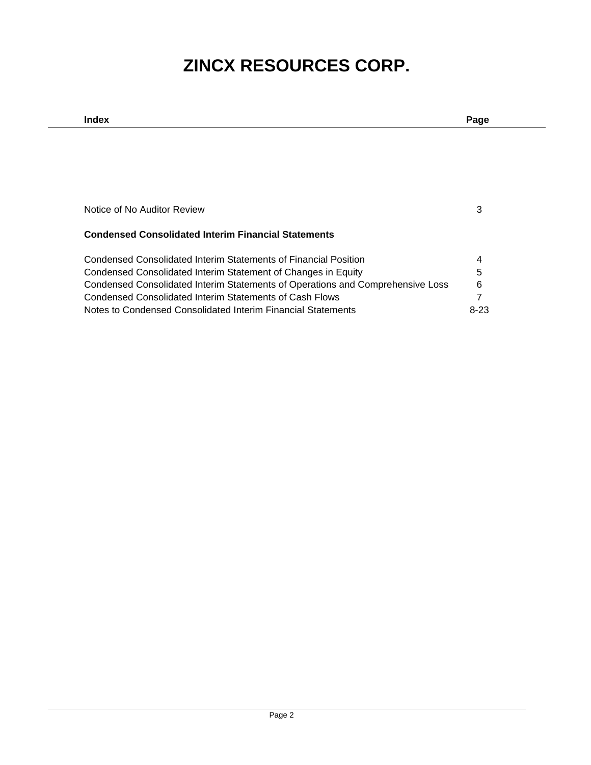| Index                                                                          | Page |
|--------------------------------------------------------------------------------|------|
|                                                                                |      |
|                                                                                |      |
|                                                                                |      |
|                                                                                |      |
|                                                                                |      |
| Notice of No Auditor Review                                                    |      |
|                                                                                |      |
| <b>Condensed Consolidated Interim Financial Statements</b>                     |      |
|                                                                                |      |
| Condensed Consolidated Interim Statements of Financial Position                |      |
| Condensed Consolidated Interim Statement of Changes in Equity                  | 5    |
| Condensed Consolidated Interim Statements of Operations and Comprehensive Loss | 6    |
| Condensed Consolidated Interim Statements of Cash Flows                        |      |
| Notes to Condensed Consolidated Interim Financial Statements                   | 8-23 |
|                                                                                |      |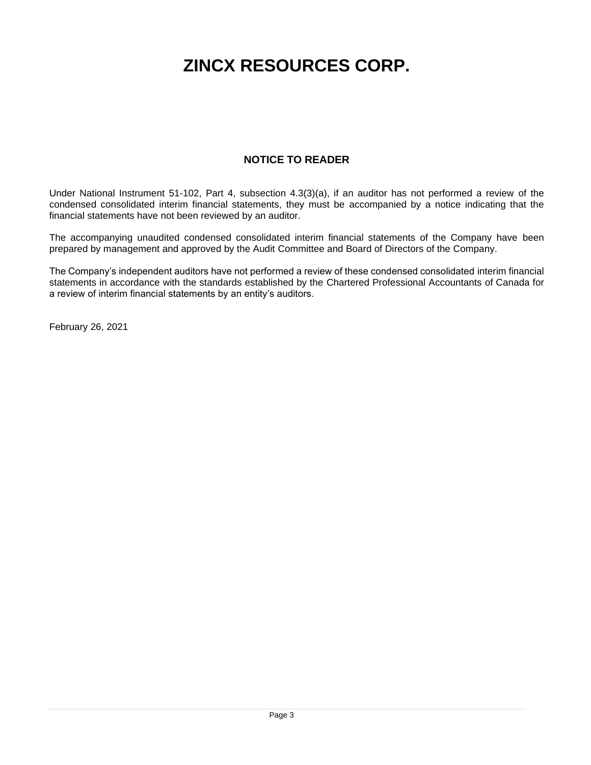## **NOTICE TO READER**

Under National Instrument 51-102, Part 4, subsection 4.3(3)(a), if an auditor has not performed a review of the condensed consolidated interim financial statements, they must be accompanied by a notice indicating that the financial statements have not been reviewed by an auditor.

The accompanying unaudited condensed consolidated interim financial statements of the Company have been prepared by management and approved by the Audit Committee and Board of Directors of the Company.

The Company's independent auditors have not performed a review of these condensed consolidated interim financial statements in accordance with the standards established by the Chartered Professional Accountants of Canada for a review of interim financial statements by an entity's auditors.

February 26, 2021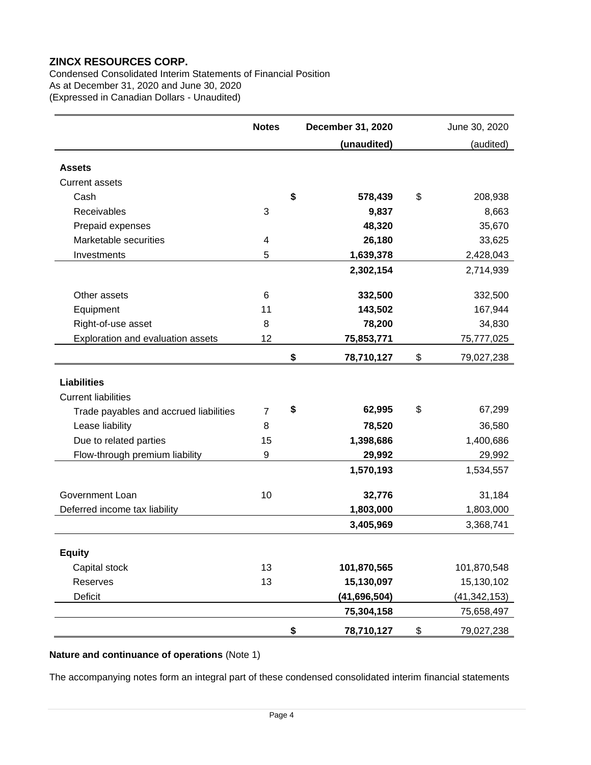Condensed Consolidated Interim Statements of Financial Position As at December 31, 2020 and June 30, 2020 (Expressed in Canadian Dollars - Unaudited)

|                                        | <b>Notes</b>   | December 31, 2020 | June 30, 2020    |
|----------------------------------------|----------------|-------------------|------------------|
|                                        |                | (unaudited)       | (audited)        |
| <b>Assets</b>                          |                |                   |                  |
|                                        |                |                   |                  |
| <b>Current assets</b><br>Cash          |                | \$                | \$               |
| Receivables                            |                | 578,439           | 208,938          |
|                                        | 3              | 9,837             | 8,663            |
| Prepaid expenses                       |                | 48,320            | 35,670           |
| Marketable securities                  | 4              | 26,180            | 33,625           |
| Investments                            | 5              | 1,639,378         | 2,428,043        |
|                                        |                | 2,302,154         | 2,714,939        |
| Other assets                           | 6              | 332,500           | 332,500          |
| Equipment                              | 11             | 143,502           | 167,944          |
| Right-of-use asset                     | 8              | 78,200            | 34,830           |
| Exploration and evaluation assets      | 12             | 75,853,771        | 75,777,025       |
|                                        |                | \$<br>78,710,127  | \$<br>79,027,238 |
|                                        |                |                   |                  |
| <b>Liabilities</b>                     |                |                   |                  |
| <b>Current liabilities</b>             |                |                   |                  |
| Trade payables and accrued liabilities | $\overline{7}$ | \$<br>62,995      | \$<br>67,299     |
| Lease liability                        | 8              | 78,520            | 36,580           |
| Due to related parties                 | 15             | 1,398,686         | 1,400,686        |
| Flow-through premium liability         | 9              | 29,992            | 29,992           |
|                                        |                | 1,570,193         | 1,534,557        |
| Government Loan                        | 10             | 32,776            | 31,184           |
| Deferred income tax liability          |                | 1,803,000         | 1,803,000        |
|                                        |                | 3,405,969         | 3,368,741        |
|                                        |                |                   |                  |
| <b>Equity</b>                          |                |                   |                  |
| Capital stock                          | 13             | 101,870,565       | 101,870,548      |
| Reserves                               | 13             | 15,130,097        | 15,130,102       |
| <b>Deficit</b>                         |                | (41,696,504)      | (41, 342, 153)   |
|                                        |                | 75,304,158        | 75,658,497       |
|                                        |                | \$<br>78,710,127  | \$<br>79,027,238 |

## **Nature and continuance of operations** (Note 1)

The accompanying notes form an integral part of these condensed consolidated interim financial statements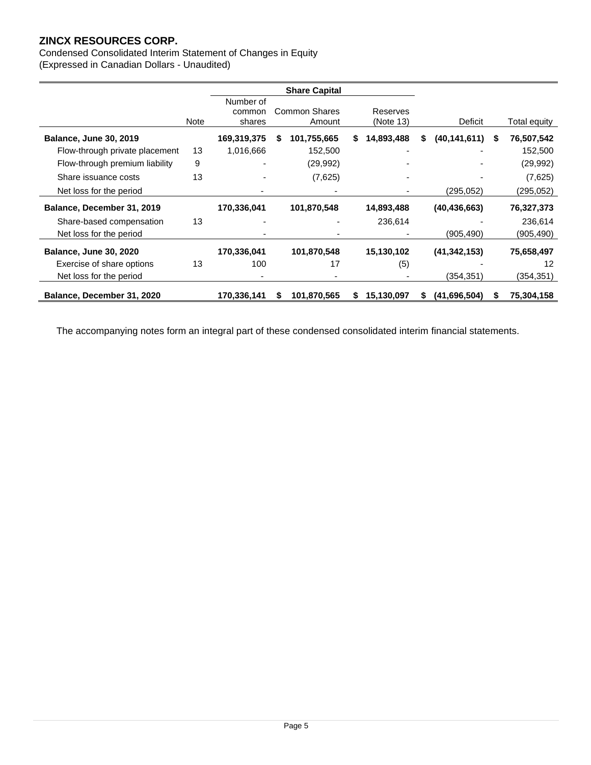Condensed Consolidated Interim Statement of Changes in Equity (Expressed in Canadian Dollars - Unaudited)

|                                |             | <b>Share Capital</b>          |   |                         |   |                       |    |                |   |              |
|--------------------------------|-------------|-------------------------------|---|-------------------------|---|-----------------------|----|----------------|---|--------------|
|                                | <b>Note</b> | Number of<br>common<br>shares |   | Common Shares<br>Amount |   | Reserves<br>(Note 13) |    | Deficit        |   | Total equity |
| <b>Balance, June 30, 2019</b>  |             | 169,319,375                   | S | 101,755,665             | S | 14,893,488            | S  | (40, 141, 611) | S | 76,507,542   |
| Flow-through private placement | 13          | 1,016,666                     |   | 152,500                 |   |                       |    |                |   | 152,500      |
| Flow-through premium liability | 9           |                               |   | (29, 992)               |   |                       |    |                |   | (29, 992)    |
| Share issuance costs           | 13          | $\overline{\phantom{a}}$      |   | (7,625)                 |   |                       |    |                |   | (7,625)      |
| Net loss for the period        |             |                               |   |                         |   |                       |    | (295, 052)     |   | (295,052)    |
| Balance, December 31, 2019     |             | 170,336,041                   |   | 101,870,548             |   | 14,893,488            |    | (40, 436, 663) |   | 76,327,373   |
| Share-based compensation       | 13          |                               |   |                         |   | 236,614               |    |                |   | 236,614      |
| Net loss for the period        |             |                               |   |                         |   |                       |    | (905, 490)     |   | (905, 490)   |
| <b>Balance, June 30, 2020</b>  |             | 170,336,041                   |   | 101,870,548             |   | 15,130,102            |    | (41, 342, 153) |   | 75,658,497   |
| Exercise of share options      | 13          | 100                           |   | 17                      |   | (5)                   |    |                |   | 12           |
| Net loss for the period        |             |                               |   |                         |   |                       |    | (354,351)      |   | (354,351)    |
| Balance, December 31, 2020     |             | 170,336,141                   | S | 101,870,565             | S | 15,130,097            | S. | (41,696,504)   |   | 75,304,158   |

The accompanying notes form an integral part of these condensed consolidated interim financial statements.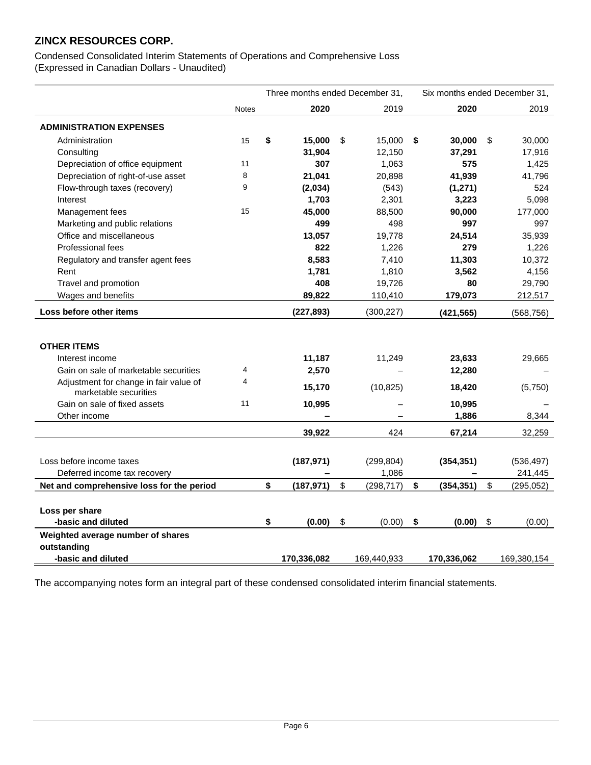Condensed Consolidated Interim Statements of Operations and Comprehensive Loss (Expressed in Canadian Dollars - Unaudited)

|                                                                 | Three months ended December 31, |    |             | Six months ended December 31, |    |             |                           |             |
|-----------------------------------------------------------------|---------------------------------|----|-------------|-------------------------------|----|-------------|---------------------------|-------------|
|                                                                 | <b>Notes</b>                    |    | 2020        | 2019                          |    | 2020        |                           | 2019        |
| <b>ADMINISTRATION EXPENSES</b>                                  |                                 |    |             |                               |    |             |                           |             |
| Administration                                                  | 15                              | \$ | 15,000      | \$<br>15,000                  | \$ | 30,000      | \$                        | 30,000      |
| Consulting                                                      |                                 |    | 31,904      | 12,150                        |    | 37,291      |                           | 17,916      |
| Depreciation of office equipment                                | 11                              |    | 307         | 1,063                         |    | 575         |                           | 1,425       |
| Depreciation of right-of-use asset                              | 8                               |    | 21,041      | 20,898                        |    | 41,939      |                           | 41,796      |
| Flow-through taxes (recovery)                                   | 9                               |    | (2,034)     | (543)                         |    | (1, 271)    |                           | 524         |
| Interest                                                        |                                 |    | 1,703       | 2,301                         |    | 3,223       |                           | 5,098       |
| Management fees                                                 | 15                              |    | 45,000      | 88,500                        |    | 90,000      |                           | 177,000     |
| Marketing and public relations                                  |                                 |    | 499         | 498                           |    | 997         |                           | 997         |
| Office and miscellaneous                                        |                                 |    | 13,057      | 19,778                        |    | 24,514      |                           | 35,939      |
| <b>Professional fees</b>                                        |                                 |    | 822         | 1,226                         |    | 279         |                           | 1,226       |
| Regulatory and transfer agent fees                              |                                 |    | 8,583       | 7,410                         |    | 11,303      |                           | 10,372      |
| Rent                                                            |                                 |    | 1,781       | 1,810                         |    | 3,562       |                           | 4,156       |
| Travel and promotion                                            |                                 |    | 408         | 19,726                        |    | 80          |                           | 29,790      |
| Wages and benefits                                              |                                 |    | 89,822      | 110,410                       |    | 179,073     |                           | 212,517     |
| Loss before other items                                         |                                 |    | (227, 893)  | (300, 227)                    |    | (421, 565)  |                           | (568, 756)  |
|                                                                 |                                 |    |             |                               |    |             |                           |             |
| <b>OTHER ITEMS</b>                                              |                                 |    |             |                               |    |             |                           |             |
| Interest income                                                 |                                 |    | 11,187      | 11,249                        |    | 23,633      |                           | 29,665      |
| Gain on sale of marketable securities                           | 4                               |    | 2,570       |                               |    | 12,280      |                           |             |
| Adjustment for change in fair value of<br>marketable securities | 4                               |    | 15,170      | (10, 825)                     |    | 18,420      |                           | (5,750)     |
| Gain on sale of fixed assets                                    | 11                              |    | 10,995      |                               |    | 10,995      |                           |             |
| Other income                                                    |                                 |    |             |                               |    | 1,886       |                           | 8,344       |
|                                                                 |                                 |    | 39,922      | 424                           |    | 67,214      |                           | 32,259      |
|                                                                 |                                 |    |             |                               |    |             |                           |             |
| Loss before income taxes                                        |                                 |    | (187, 971)  | (299, 804)                    |    | (354, 351)  |                           | (536, 497)  |
| Deferred income tax recovery                                    |                                 |    |             | 1,086                         |    |             |                           | 241,445     |
| Net and comprehensive loss for the period                       |                                 | \$ | (187, 971)  | \$<br>(298, 717)              | \$ | (354, 351)  | \$                        | (295, 052)  |
|                                                                 |                                 |    |             |                               |    |             |                           |             |
| Loss per share                                                  |                                 |    |             |                               |    |             |                           |             |
| -basic and diluted                                              |                                 | \$ | (0.00)      | \$<br>(0.00)                  | \$ | (0.00)      | $\boldsymbol{\mathsf{S}}$ | (0.00)      |
| Weighted average number of shares                               |                                 |    |             |                               |    |             |                           |             |
| outstanding                                                     |                                 |    |             |                               |    |             |                           |             |
| -basic and diluted                                              |                                 |    | 170,336,082 | 169,440,933                   |    | 170,336,062 |                           | 169,380,154 |

The accompanying notes form an integral part of these condensed consolidated interim financial statements.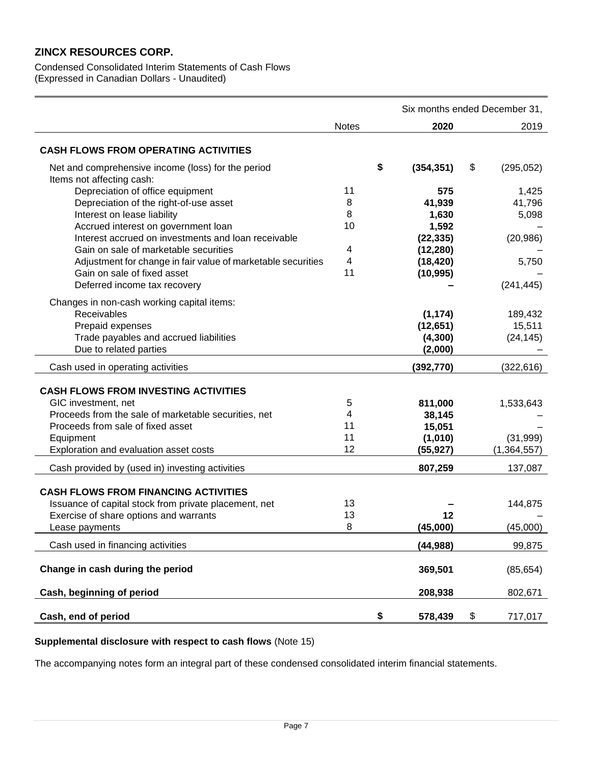Condensed Consolidated Interim Statements of Cash Flows (Expressed in Canadian Dollars - Unaudited)

|                                                                                 |              |            | Six months ended December 31, |
|---------------------------------------------------------------------------------|--------------|------------|-------------------------------|
|                                                                                 | <b>Notes</b> | 2020       | 2019                          |
| <b>CASH FLOWS FROM OPERATING ACTIVITIES</b>                                     |              |            |                               |
| Net and comprehensive income (loss) for the period<br>Items not affecting cash: | \$           | (354, 351) | \$<br>(295, 052)              |
| Depreciation of office equipment                                                | 11           | 575        | 1,425                         |
| Depreciation of the right-of-use asset                                          | 8            | 41,939     | 41,796                        |
| Interest on lease liability                                                     | 8            | 1,630      | 5,098                         |
| Accrued interest on government loan                                             | 10           | 1,592      |                               |
| Interest accrued on investments and loan receivable                             |              | (22, 335)  | (20, 986)                     |
| Gain on sale of marketable securities                                           | 4            | (12, 280)  |                               |
| Adjustment for change in fair value of marketable securities                    | 4            | (18, 420)  | 5,750                         |
| Gain on sale of fixed asset                                                     | 11           | (10, 995)  |                               |
| Deferred income tax recovery                                                    |              |            | (241, 445)                    |
| Changes in non-cash working capital items:                                      |              |            |                               |
| Receivables                                                                     |              | (1, 174)   | 189,432                       |
| Prepaid expenses                                                                |              | (12, 651)  | 15,511                        |
| Trade payables and accrued liabilities                                          |              | (4,300)    | (24, 145)                     |
| Due to related parties                                                          |              | (2,000)    |                               |
| Cash used in operating activities                                               |              | (392, 770) | (322, 616)                    |
|                                                                                 |              |            |                               |
| <b>CASH FLOWS FROM INVESTING ACTIVITIES</b>                                     |              |            |                               |
| GIC investment, net                                                             | 5            | 811,000    | 1,533,643                     |
| Proceeds from the sale of marketable securities, net                            | 4            | 38,145     |                               |
| Proceeds from sale of fixed asset                                               | 11           | 15,051     |                               |
| Equipment                                                                       | 11           | (1,010)    | (31, 999)                     |
| Exploration and evaluation asset costs                                          | 12           | (55, 927)  | (1, 364, 557)                 |
| Cash provided by (used in) investing activities                                 |              | 807,259    | 137,087                       |
| <b>CASH FLOWS FROM FINANCING ACTIVITIES</b>                                     |              |            |                               |
| Issuance of capital stock from private placement, net                           | 13           |            | 144,875                       |
| Exercise of share options and warrants                                          | 13           | 12         |                               |
| Lease payments                                                                  | 8            | (45,000)   | (45,000)                      |
| Cash used in financing activities                                               |              | (44, 988)  | 99,875                        |
| Change in cash during the period                                                |              |            |                               |
|                                                                                 |              | 369,501    | (85, 654)                     |
| Cash, beginning of period                                                       |              | 208,938    | 802,671                       |
| Cash, end of period                                                             | \$           | 578,439    | \$<br>717,017                 |

#### **Supplemental disclosure with respect to cash flows** (Note 15)

The accompanying notes form an integral part of these condensed consolidated interim financial statements.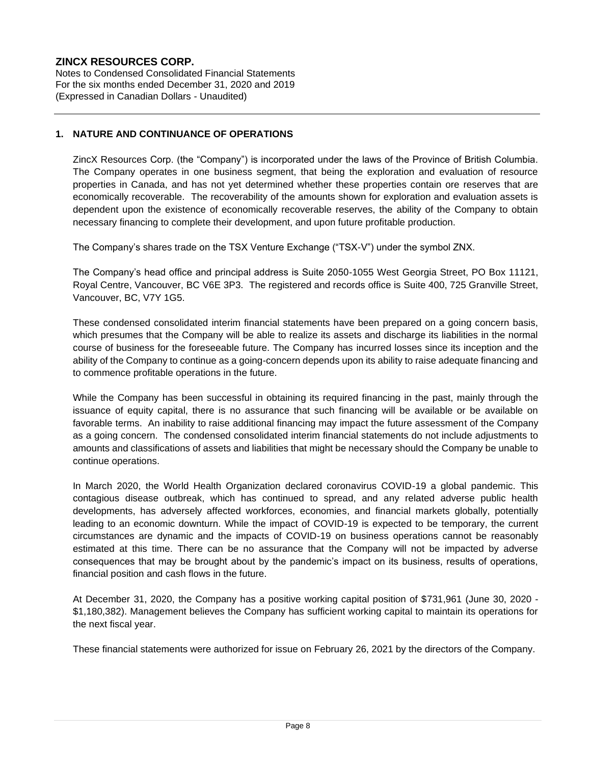Notes to Condensed Consolidated Financial Statements For the six months ended December 31, 2020 and 2019 (Expressed in Canadian Dollars - Unaudited)

## **1. NATURE AND CONTINUANCE OF OPERATIONS**

ZincX Resources Corp. (the "Company") is incorporated under the laws of the Province of British Columbia. The Company operates in one business segment, that being the exploration and evaluation of resource properties in Canada, and has not yet determined whether these properties contain ore reserves that are economically recoverable. The recoverability of the amounts shown for exploration and evaluation assets is dependent upon the existence of economically recoverable reserves, the ability of the Company to obtain necessary financing to complete their development, and upon future profitable production.

The Company's shares trade on the TSX Venture Exchange ("TSX-V") under the symbol ZNX.

The Company's head office and principal address is Suite 2050-1055 West Georgia Street, PO Box 11121, Royal Centre, Vancouver, BC V6E 3P3. The registered and records office is Suite 400, 725 Granville Street, Vancouver, BC, V7Y 1G5.

These condensed consolidated interim financial statements have been prepared on a going concern basis, which presumes that the Company will be able to realize its assets and discharge its liabilities in the normal course of business for the foreseeable future. The Company has incurred losses since its inception and the ability of the Company to continue as a going-concern depends upon its ability to raise adequate financing and to commence profitable operations in the future.

While the Company has been successful in obtaining its required financing in the past, mainly through the issuance of equity capital, there is no assurance that such financing will be available or be available on favorable terms. An inability to raise additional financing may impact the future assessment of the Company as a going concern. The condensed consolidated interim financial statements do not include adjustments to amounts and classifications of assets and liabilities that might be necessary should the Company be unable to continue operations.

In March 2020, the World Health Organization declared coronavirus COVID-19 a global pandemic. This contagious disease outbreak, which has continued to spread, and any related adverse public health developments, has adversely affected workforces, economies, and financial markets globally, potentially leading to an economic downturn. While the impact of COVID-19 is expected to be temporary, the current circumstances are dynamic and the impacts of COVID-19 on business operations cannot be reasonably estimated at this time. There can be no assurance that the Company will not be impacted by adverse consequences that may be brought about by the pandemic's impact on its business, results of operations, financial position and cash flows in the future.

At December 31, 2020, the Company has a positive working capital position of \$731,961 (June 30, 2020 - \$1,180,382). Management believes the Company has sufficient working capital to maintain its operations for the next fiscal year.

These financial statements were authorized for issue on February 26, 2021 by the directors of the Company.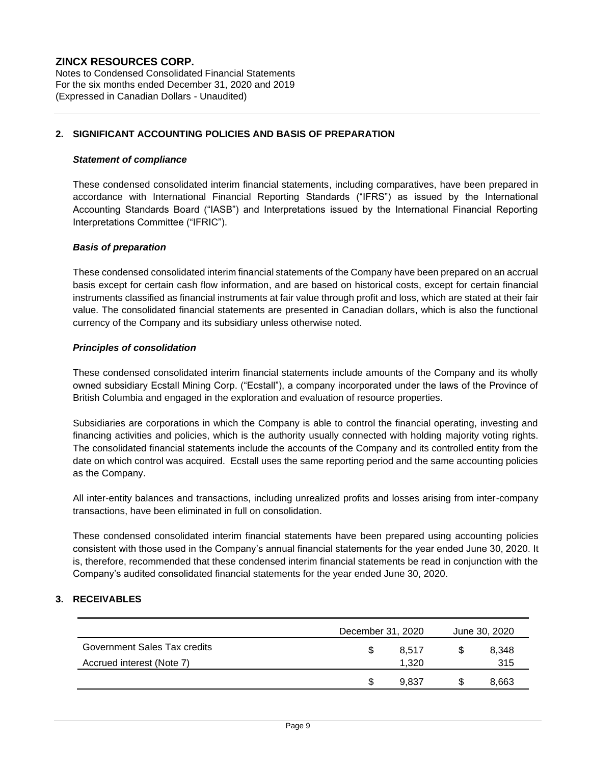Notes to Condensed Consolidated Financial Statements For the six months ended December 31, 2020 and 2019 (Expressed in Canadian Dollars - Unaudited)

#### **2. SIGNIFICANT ACCOUNTING POLICIES AND BASIS OF PREPARATION**

#### *Statement of compliance*

These condensed consolidated interim financial statements, including comparatives, have been prepared in accordance with International Financial Reporting Standards ("IFRS") as issued by the International Accounting Standards Board ("IASB") and Interpretations issued by the International Financial Reporting Interpretations Committee ("IFRIC").

#### *Basis of preparation*

These condensed consolidated interim financial statements of the Company have been prepared on an accrual basis except for certain cash flow information, and are based on historical costs, except for certain financial instruments classified as financial instruments at fair value through profit and loss, which are stated at their fair value. The consolidated financial statements are presented in Canadian dollars, which is also the functional currency of the Company and its subsidiary unless otherwise noted.

#### *Principles of consolidation*

These condensed consolidated interim financial statements include amounts of the Company and its wholly owned subsidiary Ecstall Mining Corp. ("Ecstall"), a company incorporated under the laws of the Province of British Columbia and engaged in the exploration and evaluation of resource properties.

Subsidiaries are corporations in which the Company is able to control the financial operating, investing and financing activities and policies, which is the authority usually connected with holding majority voting rights. The consolidated financial statements include the accounts of the Company and its controlled entity from the date on which control was acquired. Ecstall uses the same reporting period and the same accounting policies as the Company.

All inter-entity balances and transactions, including unrealized profits and losses arising from inter-company transactions, have been eliminated in full on consolidation.

These condensed consolidated interim financial statements have been prepared using accounting policies consistent with those used in the Company's annual financial statements for the year ended June 30, 2020. It is, therefore, recommended that these condensed interim financial statements be read in conjunction with the Company's audited consolidated financial statements for the year ended June 30, 2020.

## **3. RECEIVABLES**

|                              | December 31, 2020 |       |   | June 30, 2020 |
|------------------------------|-------------------|-------|---|---------------|
| Government Sales Tax credits | S                 | 8.517 |   | 8.348         |
| Accrued interest (Note 7)    |                   | 1.320 |   | 315           |
|                              | S                 | 9.837 | S | 8,663         |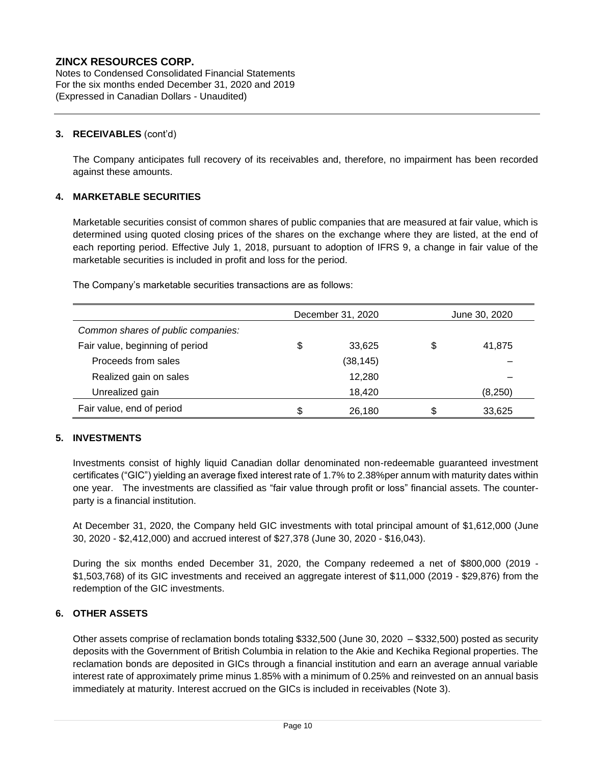Notes to Condensed Consolidated Financial Statements For the six months ended December 31, 2020 and 2019 (Expressed in Canadian Dollars - Unaudited)

#### **3. RECEIVABLES** (cont'd)

The Company anticipates full recovery of its receivables and, therefore, no impairment has been recorded against these amounts.

## **4. MARKETABLE SECURITIES**

Marketable securities consist of common shares of public companies that are measured at fair value, which is determined using quoted closing prices of the shares on the exchange where they are listed, at the end of each reporting period. Effective July 1, 2018, pursuant to adoption of IFRS 9, a change in fair value of the marketable securities is included in profit and loss for the period.

The Company's marketable securities transactions are as follows:

|                                    |    | December 31, 2020 | June 30, 2020 |          |  |
|------------------------------------|----|-------------------|---------------|----------|--|
| Common shares of public companies: |    |                   |               |          |  |
| Fair value, beginning of period    | \$ | 33.625            | \$            | 41,875   |  |
| Proceeds from sales                |    | (38, 145)         |               |          |  |
| Realized gain on sales             |    | 12,280            |               |          |  |
| Unrealized gain                    |    | 18.420            |               | (8, 250) |  |
| Fair value, end of period          | S  | 26,180            | S             | 33,625   |  |

## **5. INVESTMENTS**

Investments consist of highly liquid Canadian dollar denominated non-redeemable guaranteed investment certificates ("GIC") yielding an average fixed interest rate of 1.7% to 2.38%per annum with maturity dates within one year. The investments are classified as "fair value through profit or loss" financial assets. The counterparty is a financial institution.

At December 31, 2020, the Company held GIC investments with total principal amount of \$1,612,000 (June 30, 2020 - \$2,412,000) and accrued interest of \$27,378 (June 30, 2020 - \$16,043).

During the six months ended December 31, 2020, the Company redeemed a net of \$800,000 (2019 - \$1,503,768) of its GIC investments and received an aggregate interest of \$11,000 (2019 - \$29,876) from the redemption of the GIC investments.

## **6. OTHER ASSETS**

Other assets comprise of reclamation bonds totaling \$332,500 (June 30, 2020 – \$332,500) posted as security deposits with the Government of British Columbia in relation to the Akie and Kechika Regional properties. The reclamation bonds are deposited in GICs through a financial institution and earn an average annual variable interest rate of approximately prime minus 1.85% with a minimum of 0.25% and reinvested on an annual basis immediately at maturity. Interest accrued on the GICs is included in receivables (Note 3).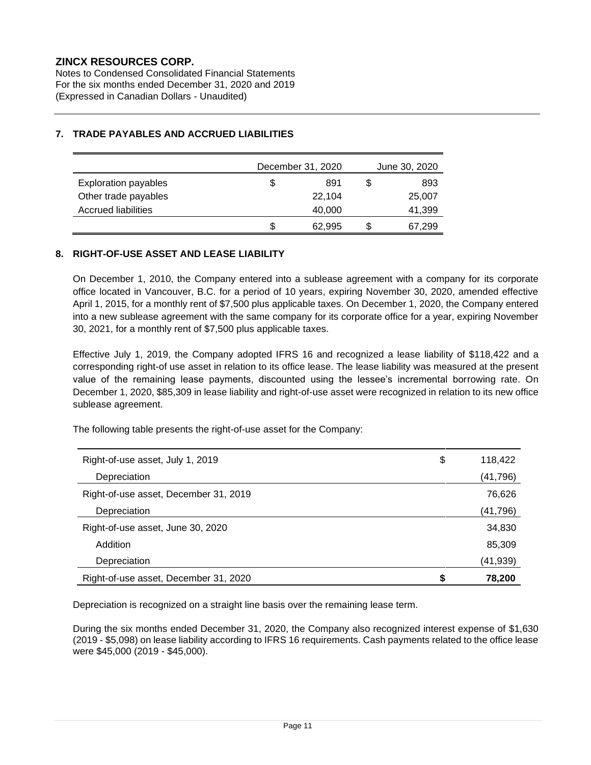Notes to Condensed Consolidated Financial Statements For the six months ended December 31, 2020 and 2019 (Expressed in Canadian Dollars - Unaudited)

|                             |    | December 31, 2020 | June 30, 2020 |        |  |
|-----------------------------|----|-------------------|---------------|--------|--|
| <b>Exploration payables</b> | \$ | 891               |               | 893    |  |
| Other trade payables        |    | 22,104            |               | 25,007 |  |
| Accrued liabilities         |    | 40,000            |               | 41,399 |  |
|                             | S  | 62,995            |               | 67,299 |  |

## **7. TRADE PAYABLES AND ACCRUED LIABILITIES**

#### **8. RIGHT-OF-USE ASSET AND LEASE LIABILITY**

On December 1, 2010, the Company entered into a sublease agreement with a company for its corporate office located in Vancouver, B.C. for a period of 10 years, expiring November 30, 2020, amended effective April 1, 2015, for a monthly rent of \$7,500 plus applicable taxes. On December 1, 2020, the Company entered into a new sublease agreement with the same company for its corporate office for a year, expiring November 30, 2021, for a monthly rent of \$7,500 plus applicable taxes.

Effective July 1, 2019, the Company adopted IFRS 16 and recognized a lease liability of \$118,422 and a corresponding right-of use asset in relation to its office lease. The lease liability was measured at the present value of the remaining lease payments, discounted using the lessee's incremental borrowing rate. On December 1, 2020, \$85,309 in lease liability and right-of-use asset were recognized in relation to its new office sublease agreement.

The following table presents the right-of-use asset for the Company:

| Right-of-use asset, July 1, 2019      | \$<br>118,422 |
|---------------------------------------|---------------|
| Depreciation                          | (41, 796)     |
| Right-of-use asset, December 31, 2019 | 76,626        |
| Depreciation                          | (41, 796)     |
| Right-of-use asset, June 30, 2020     | 34,830        |
| Addition                              | 85,309        |
| Depreciation                          | (41,939)      |
| Right-of-use asset, December 31, 2020 | 78,200        |

Depreciation is recognized on a straight line basis over the remaining lease term.

During the six months ended December 31, 2020, the Company also recognized interest expense of \$1,630 (2019 - \$5,098) on lease liability according to IFRS 16 requirements. Cash payments related to the office lease were \$45,000 (2019 - \$45,000).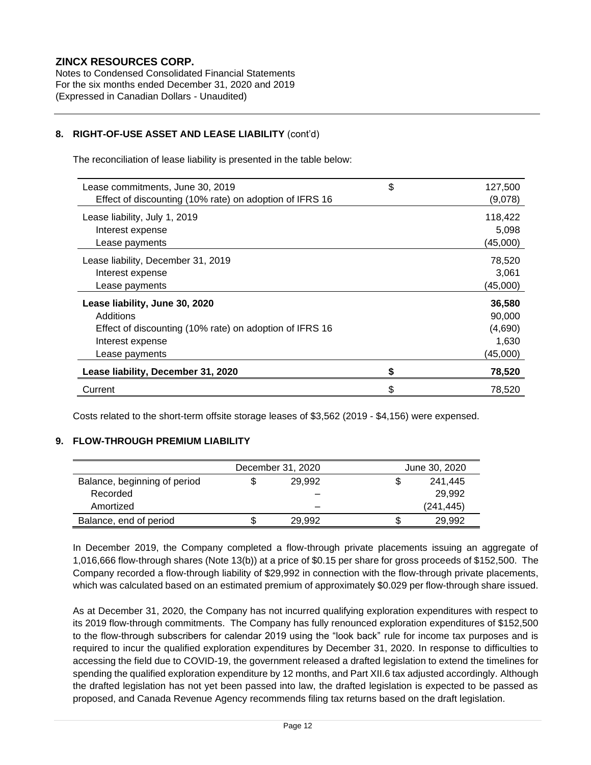Notes to Condensed Consolidated Financial Statements For the six months ended December 31, 2020 and 2019 (Expressed in Canadian Dollars - Unaudited)

## **8. RIGHT-OF-USE ASSET AND LEASE LIABILITY** (cont'd)

The reconciliation of lease liability is presented in the table below:

| Lease commitments, June 30, 2019                        | \$<br>127,500 |
|---------------------------------------------------------|---------------|
| Effect of discounting (10% rate) on adoption of IFRS 16 | (9,078)       |
| Lease liability, July 1, 2019                           | 118,422       |
| Interest expense                                        | 5,098         |
| Lease payments                                          | (45,000)      |
| Lease liability, December 31, 2019                      | 78,520        |
| Interest expense                                        | 3,061         |
| Lease payments                                          | (45,000)      |
| Lease liability, June 30, 2020                          | 36,580        |
| Additions                                               | 90,000        |
| Effect of discounting (10% rate) on adoption of IFRS 16 | (4,690)       |
| Interest expense                                        | 1,630         |
| Lease payments                                          | (45,000)      |
| Lease liability, December 31, 2020                      | \$<br>78,520  |
| Current                                                 | \$<br>78.520  |

Costs related to the short-term offsite storage leases of \$3,562 (2019 - \$4,156) were expensed.

## **9. FLOW-THROUGH PREMIUM LIABILITY**

|                              | December 31, 2020 |        | June 30, 2020 |            |  |
|------------------------------|-------------------|--------|---------------|------------|--|
| Balance, beginning of period |                   | 29.992 | S             | 241,445    |  |
| Recorded                     |                   |        |               | 29.992     |  |
| Amortized                    |                   |        |               | (241, 445) |  |
| Balance, end of period       |                   | 29.992 | \$            | 29.992     |  |

In December 2019, the Company completed a flow-through private placements issuing an aggregate of 1,016,666 flow-through shares (Note 13(b)) at a price of \$0.15 per share for gross proceeds of \$152,500. The Company recorded a flow-through liability of \$29,992 in connection with the flow-through private placements, which was calculated based on an estimated premium of approximately \$0.029 per flow-through share issued.

As at December 31, 2020, the Company has not incurred qualifying exploration expenditures with respect to its 2019 flow-through commitments. The Company has fully renounced exploration expenditures of \$152,500 to the flow-through subscribers for calendar 2019 using the "look back" rule for income tax purposes and is required to incur the qualified exploration expenditures by December 31, 2020. In response to difficulties to accessing the field due to COVID-19, the government released a drafted legislation to extend the timelines for spending the qualified exploration expenditure by 12 months, and Part XII.6 tax adjusted accordingly. Although the drafted legislation has not yet been passed into law, the drafted legislation is expected to be passed as proposed, and Canada Revenue Agency recommends filing tax returns based on the draft legislation.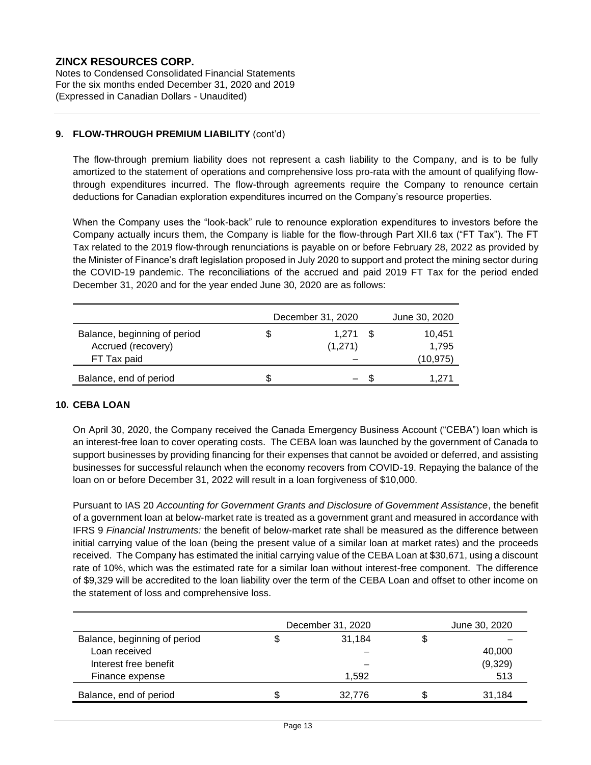Notes to Condensed Consolidated Financial Statements For the six months ended December 31, 2020 and 2019 (Expressed in Canadian Dollars - Unaudited)

## **9. FLOW-THROUGH PREMIUM LIABILITY** (cont'd)

The flow-through premium liability does not represent a cash liability to the Company, and is to be fully amortized to the statement of operations and comprehensive loss pro-rata with the amount of qualifying flowthrough expenditures incurred. The flow-through agreements require the Company to renounce certain deductions for Canadian exploration expenditures incurred on the Company's resource properties.

When the Company uses the "look-back" rule to renounce exploration expenditures to investors before the Company actually incurs them, the Company is liable for the flow-through Part XII.6 tax ("FT Tax"). The FT Tax related to the 2019 flow-through renunciations is payable on or before February 28, 2022 as provided by the Minister of Finance's draft legislation proposed in July 2020 to support and protect the mining sector during the COVID-19 pandemic. The reconciliations of the accrued and paid 2019 FT Tax for the period ended December 31, 2020 and for the year ended June 30, 2020 are as follows:

|                              | December 31, 2020 | June 30, 2020 |          |
|------------------------------|-------------------|---------------|----------|
| Balance, beginning of period |                   | 1.271         | 10.451   |
| Accrued (recovery)           |                   | (1,271)       | 1.795    |
| FT Tax paid                  |                   |               | (10,975) |
| Balance, end of period       |                   |               | 1.271    |

#### **10. CEBA LOAN**

On April 30, 2020, the Company received the Canada Emergency Business Account ("CEBA") loan which is an interest-free loan to cover operating costs. The CEBA loan was launched by the government of Canada to support businesses by providing financing for their expenses that cannot be avoided or deferred, and assisting businesses for successful relaunch when the economy recovers from COVID-19. Repaying the balance of the loan on or before December 31, 2022 will result in a loan forgiveness of \$10,000.

Pursuant to IAS 20 *Accounting for Government Grants and Disclosure of Government Assistance*, the benefit of a government loan at below-market rate is treated as a government grant and measured in accordance with IFRS 9 *Financial Instruments:* the benefit of below-market rate shall be measured as the difference between initial carrying value of the loan (being the present value of a similar loan at market rates) and the proceeds received. The Company has estimated the initial carrying value of the CEBA Loan at \$30,671, using a discount rate of 10%, which was the estimated rate for a similar loan without interest-free component. The difference of \$9,329 will be accredited to the loan liability over the term of the CEBA Loan and offset to other income on the statement of loss and comprehensive loss.

|                              | December 31, 2020 | June 30, 2020 |
|------------------------------|-------------------|---------------|
| Balance, beginning of period | 31,184            |               |
| Loan received                |                   | 40,000        |
| Interest free benefit        |                   | (9,329)       |
| Finance expense              | 1.592             | 513           |
| Balance, end of period       | 32.776            | 31.184        |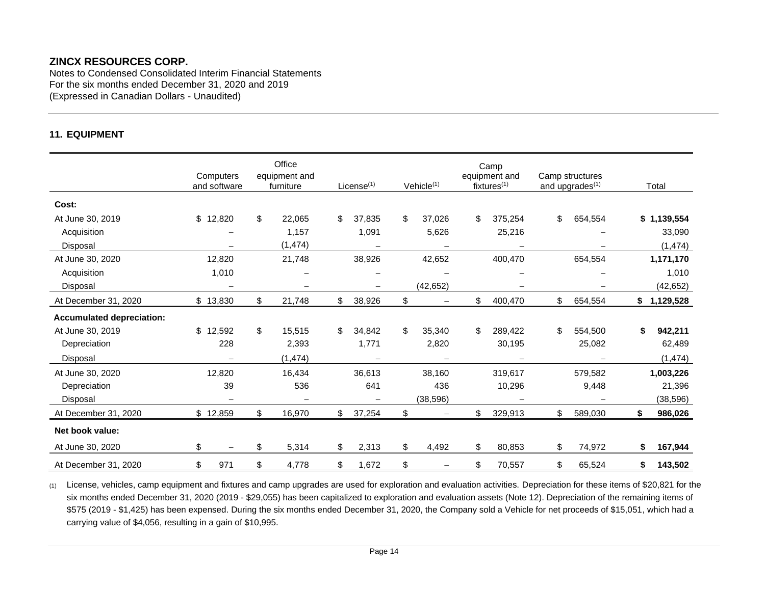Notes to Condensed Consolidated Interim Financial Statements For the six months ended December 31, 2020 and 2019 (Expressed in Canadian Dollars - Unaudited)

## **11. EQUIPMENT**

|                                  | Computers<br>and software | Office<br>equipment and<br>furniture | License <sup>(1)</sup>            | Vehicle <sup>(1)</sup>         | Camp<br>equipment and<br>fixtures <sup>(1)</sup> | Camp structures<br>and upgrades <sup>(1)</sup> | Total         |
|----------------------------------|---------------------------|--------------------------------------|-----------------------------------|--------------------------------|--------------------------------------------------|------------------------------------------------|---------------|
| Cost:                            |                           |                                      |                                   |                                |                                                  |                                                |               |
| At June 30, 2019                 | \$12,820                  | \$<br>22,065                         | \$<br>37,835                      | \$<br>37,026                   | \$<br>375,254                                    | \$<br>654,554                                  | \$1,139,554   |
| Acquisition                      |                           | 1,157                                | 1,091                             | 5,626                          | 25,216                                           |                                                | 33,090        |
| Disposal                         |                           | (1, 474)                             |                                   |                                |                                                  |                                                | (1, 474)      |
| At June 30, 2020                 | 12,820                    | 21,748                               | 38,926                            | 42,652                         | 400,470                                          | 654,554                                        | 1,171,170     |
| Acquisition                      | 1,010                     |                                      |                                   |                                |                                                  |                                                | 1,010         |
| Disposal                         |                           |                                      | $\overbrace{\phantom{123221111}}$ | (42, 652)                      |                                                  |                                                | (42, 652)     |
| At December 31, 2020             | \$13,830                  | \$<br>21,748                         | \$<br>38,926                      | \$                             | \$<br>400,470                                    | \$<br>654,554                                  | \$1,129,528   |
| <b>Accumulated depreciation:</b> |                           |                                      |                                   |                                |                                                  |                                                |               |
| At June 30, 2019                 | \$<br>12,592              | \$<br>15,515                         | \$<br>34,842                      | \$<br>35,340                   | \$<br>289,422                                    | \$<br>554,500                                  | \$<br>942,211 |
| Depreciation                     | 228                       | 2,393                                | 1,771                             | 2,820                          | 30,195                                           | 25,082                                         | 62,489        |
| Disposal                         |                           | (1, 474)                             |                                   |                                |                                                  |                                                | (1, 474)      |
| At June 30, 2020                 | 12,820                    | 16,434                               | 36,613                            | 38,160                         | 319,617                                          | 579,582                                        | 1,003,226     |
| Depreciation                     | 39                        | 536                                  | 641                               | 436                            | 10,296                                           | 9,448                                          | 21,396        |
| Disposal                         | $\qquad \qquad -$         |                                      | $\qquad \qquad -$                 | (38, 596)                      |                                                  |                                                | (38, 596)     |
| At December 31, 2020             | \$12,859                  | \$<br>16,970                         | \$<br>37,254                      | \$<br>$\qquad \qquad -$        | \$<br>329,913                                    | \$<br>589,030                                  | \$<br>986,026 |
| Net book value:                  |                           |                                      |                                   |                                |                                                  |                                                |               |
| At June 30, 2020                 | \$                        | \$<br>5,314                          | \$<br>2,313                       | \$<br>4,492                    | \$<br>80,853                                     | \$<br>74,972                                   | \$<br>167,944 |
| At December 31, 2020             | \$<br>971                 | \$<br>4,778                          | \$<br>1,672                       | \$<br>$\overline{\phantom{0}}$ | \$<br>70,557                                     | \$<br>65,524                                   | \$<br>143,502 |

(1) License, vehicles, camp equipment and fixtures and camp upgrades are used for exploration and evaluation activities. Depreciation for these items of \$20,821 for the six months ended December 31, 2020 (2019 - \$29,055) has been capitalized to exploration and evaluation assets (Note 12). Depreciation of the remaining items of \$575 (2019 - \$1,425) has been expensed. During the six months ended December 31, 2020, the Company sold a Vehicle for net proceeds of \$15,051, which had a carrying value of \$4,056, resulting in a gain of \$10,995.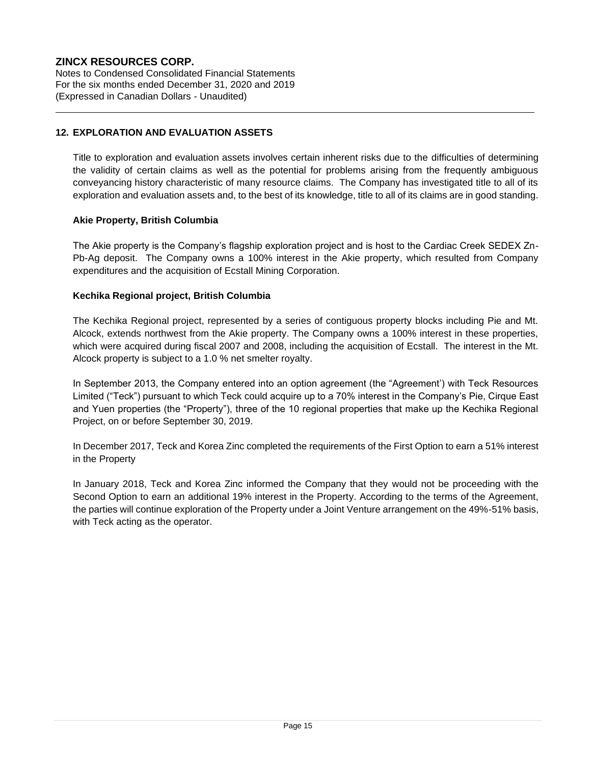Notes to Condensed Consolidated Financial Statements For the six months ended December 31, 2020 and 2019 (Expressed in Canadian Dollars - Unaudited)

## **12. EXPLORATION AND EVALUATION ASSETS**

Title to exploration and evaluation assets involves certain inherent risks due to the difficulties of determining the validity of certain claims as well as the potential for problems arising from the frequently ambiguous conveyancing history characteristic of many resource claims. The Company has investigated title to all of its exploration and evaluation assets and, to the best of its knowledge, title to all of its claims are in good standing.

## **Akie Property, British Columbia**

The Akie property is the Company's flagship exploration project and is host to the Cardiac Creek SEDEX Zn-Pb-Ag deposit. The Company owns a 100% interest in the Akie property, which resulted from Company expenditures and the acquisition of Ecstall Mining Corporation.

## **Kechika Regional project, British Columbia**

The Kechika Regional project, represented by a series of contiguous property blocks including Pie and Mt. Alcock, extends northwest from the Akie property. The Company owns a 100% interest in these properties, which were acquired during fiscal 2007 and 2008, including the acquisition of Ecstall. The interest in the Mt. Alcock property is subject to a 1.0 % net smelter royalty.

In September 2013, the Company entered into an option agreement (the "Agreement') with Teck Resources Limited ("Teck") pursuant to which Teck could acquire up to a 70% interest in the Company's Pie, Cirque East and Yuen properties (the "Property"), three of the 10 regional properties that make up the Kechika Regional Project, on or before September 30, 2019.

In December 2017, Teck and Korea Zinc completed the requirements of the First Option to earn a 51% interest in the Property

In January 2018, Teck and Korea Zinc informed the Company that they would not be proceeding with the Second Option to earn an additional 19% interest in the Property. According to the terms of the Agreement, the parties will continue exploration of the Property under a Joint Venture arrangement on the 49%-51% basis, with Teck acting as the operator.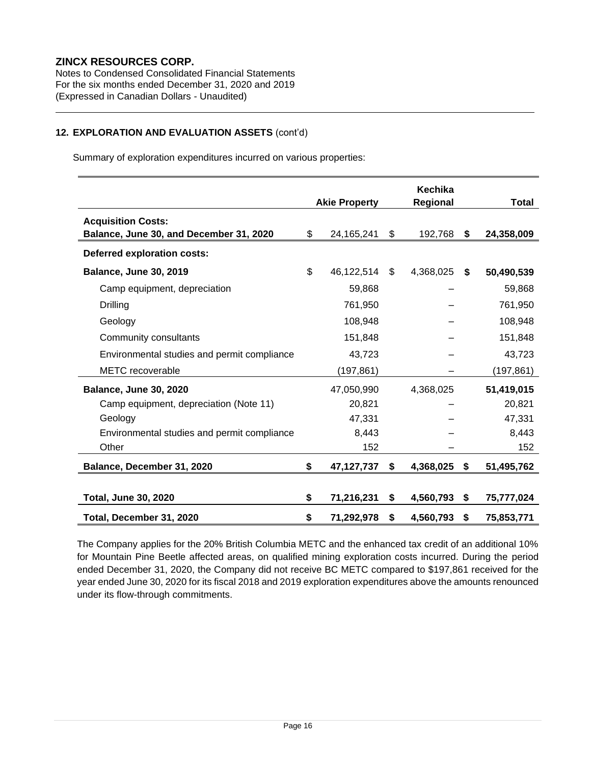Notes to Condensed Consolidated Financial Statements For the six months ended December 31, 2020 and 2019 (Expressed in Canadian Dollars - Unaudited)

## **12. EXPLORATION AND EVALUATION ASSETS** (cont'd)

Summary of exploration expenditures incurred on various properties:

|                                                                      | <b>Akie Property</b> | Kechika<br>Regional | <b>Total</b> |            |
|----------------------------------------------------------------------|----------------------|---------------------|--------------|------------|
| <b>Acquisition Costs:</b><br>Balance, June 30, and December 31, 2020 | \$<br>24,165,241     | \$<br>192,768       | S.           | 24,358,009 |
| <b>Deferred exploration costs:</b>                                   |                      |                     |              |            |
| <b>Balance, June 30, 2019</b>                                        | \$<br>46,122,514     | \$<br>4,368,025     | \$           | 50,490,539 |
| Camp equipment, depreciation                                         | 59,868               |                     |              | 59,868     |
| Drilling                                                             | 761,950              |                     |              | 761,950    |
| Geology                                                              | 108,948              |                     |              | 108,948    |
| Community consultants                                                | 151,848              |                     |              | 151,848    |
| Environmental studies and permit compliance                          | 43,723               |                     |              | 43,723     |
| <b>METC</b> recoverable                                              | (197, 861)           |                     |              | (197, 861) |
| <b>Balance, June 30, 2020</b>                                        | 47,050,990           | 4,368,025           |              | 51,419,015 |
| Camp equipment, depreciation (Note 11)                               | 20,821               |                     |              | 20,821     |
| Geology                                                              | 47,331               |                     |              | 47,331     |
| Environmental studies and permit compliance                          | 8,443                |                     |              | 8,443      |
| Other                                                                | 152                  |                     |              | 152        |
| Balance, December 31, 2020                                           | \$<br>47,127,737     | \$<br>4,368,025     | \$           | 51,495,762 |
|                                                                      |                      |                     |              |            |
| <b>Total, June 30, 2020</b>                                          | \$<br>71,216,231     | \$<br>4,560,793     | \$           | 75,777,024 |
| Total, December 31, 2020                                             | \$<br>71,292,978     | \$<br>4,560,793     | \$           | 75,853,771 |

The Company applies for the 20% British Columbia METC and the enhanced tax credit of an additional 10% for Mountain Pine Beetle affected areas, on qualified mining exploration costs incurred. During the period ended December 31, 2020, the Company did not receive BC METC compared to \$197,861 received for the year ended June 30, 2020 for its fiscal 2018 and 2019 exploration expenditures above the amounts renounced under its flow-through commitments.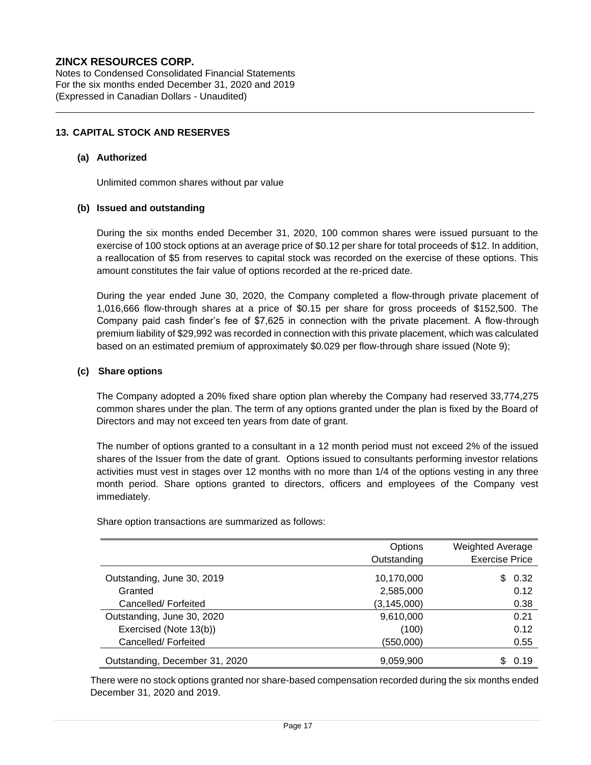Notes to Condensed Consolidated Financial Statements For the six months ended December 31, 2020 and 2019 (Expressed in Canadian Dollars - Unaudited)

#### **13. CAPITAL STOCK AND RESERVES**

#### **(a) Authorized**

Unlimited common shares without par value

#### **(b) Issued and outstanding**

During the six months ended December 31, 2020, 100 common shares were issued pursuant to the exercise of 100 stock options at an average price of \$0.12 per share for total proceeds of \$12. In addition, a reallocation of \$5 from reserves to capital stock was recorded on the exercise of these options. This amount constitutes the fair value of options recorded at the re-priced date.

During the year ended June 30, 2020, the Company completed a flow-through private placement of 1,016,666 flow-through shares at a price of \$0.15 per share for gross proceeds of \$152,500. The Company paid cash finder's fee of \$7,625 in connection with the private placement. A flow-through premium liability of \$29,992 was recorded in connection with this private placement, which was calculated based on an estimated premium of approximately \$0.029 per flow-through share issued (Note 9);

#### **(c) Share options**

The Company adopted a 20% fixed share option plan whereby the Company had reserved 33,774,275 common shares under the plan. The term of any options granted under the plan is fixed by the Board of Directors and may not exceed ten years from date of grant.

The number of options granted to a consultant in a 12 month period must not exceed 2% of the issued shares of the Issuer from the date of grant. Options issued to consultants performing investor relations activities must vest in stages over 12 months with no more than 1/4 of the options vesting in any three month period. Share options granted to directors, officers and employees of the Company vest immediately.

|                                | Options       | <b>Weighted Average</b> |
|--------------------------------|---------------|-------------------------|
|                                | Outstanding   | <b>Exercise Price</b>   |
| Outstanding, June 30, 2019     | 10,170,000    | 0.32<br>\$.             |
| Granted                        | 2,585,000     | 0.12                    |
| Cancelled/Forfeited            | (3, 145, 000) | 0.38                    |
| Outstanding, June 30, 2020     | 9,610,000     | 0.21                    |
| Exercised (Note 13(b))         | (100)         | 0.12                    |
| Cancelled/Forfeited            | (550,000)     | 0.55                    |
| Outstanding, December 31, 2020 | 9,059,900     | 0.19                    |

Share option transactions are summarized as follows:

There were no stock options granted nor share-based compensation recorded during the six months ended December 31, 2020 and 2019.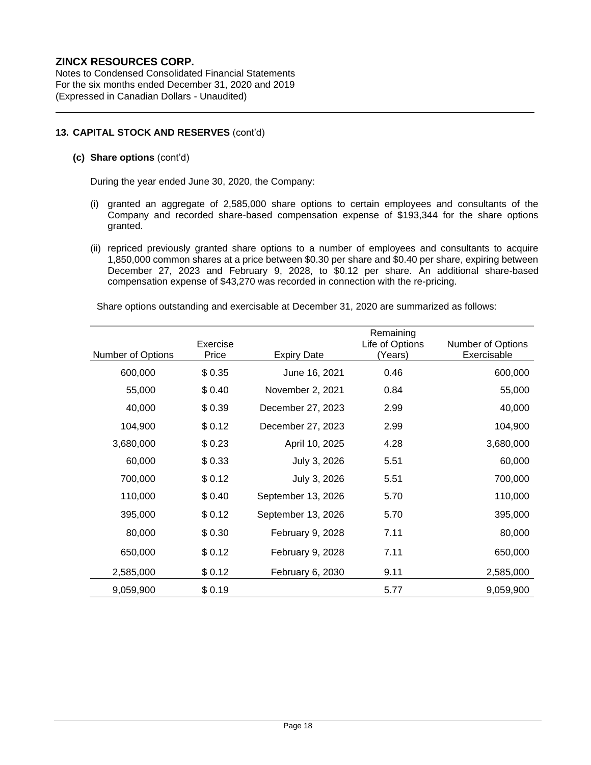Notes to Condensed Consolidated Financial Statements For the six months ended December 31, 2020 and 2019 (Expressed in Canadian Dollars - Unaudited)

## **13. CAPITAL STOCK AND RESERVES** (cont'd)

## **(c) Share options** (cont'd)

During the year ended June 30, 2020, the Company:

- (i) granted an aggregate of 2,585,000 share options to certain employees and consultants of the Company and recorded share-based compensation expense of \$193,344 for the share options granted.
- (ii) repriced previously granted share options to a number of employees and consultants to acquire 1,850,000 common shares at a price between \$0.30 per share and \$0.40 per share, expiring between December 27, 2023 and February 9, 2028, to \$0.12 per share. An additional share-based compensation expense of \$43,270 was recorded in connection with the re-pricing.

Share options outstanding and exercisable at December 31, 2020 are summarized as follows:

|                   | Exercise |                    | Remaining<br>Life of Options | <b>Number of Options</b> |
|-------------------|----------|--------------------|------------------------------|--------------------------|
| Number of Options | Price    | <b>Expiry Date</b> | (Years)                      | Exercisable              |
| 600,000           | \$0.35   | June 16, 2021      | 0.46                         | 600,000                  |
| 55,000            | \$0.40   | November 2, 2021   | 0.84                         | 55,000                   |
| 40,000            | \$0.39   | December 27, 2023  | 2.99                         | 40,000                   |
| 104,900           | \$0.12   | December 27, 2023  | 2.99                         | 104,900                  |
| 3,680,000         | \$0.23   | April 10, 2025     | 4.28                         | 3,680,000                |
| 60,000            | \$0.33   | July 3, 2026       | 5.51                         | 60,000                   |
| 700,000           | \$0.12   | July 3, 2026       | 5.51                         | 700,000                  |
| 110,000           | \$0.40   | September 13, 2026 | 5.70                         | 110,000                  |
| 395,000           | \$0.12   | September 13, 2026 | 5.70                         | 395,000                  |
| 80,000            | \$0.30   | February 9, 2028   | 7.11                         | 80,000                   |
| 650,000           | \$0.12   | February 9, 2028   | 7.11                         | 650,000                  |
| 2,585,000         | \$0.12   | February 6, 2030   | 9.11                         | 2,585,000                |
| 9,059,900         | \$0.19   |                    | 5.77                         | 9,059,900                |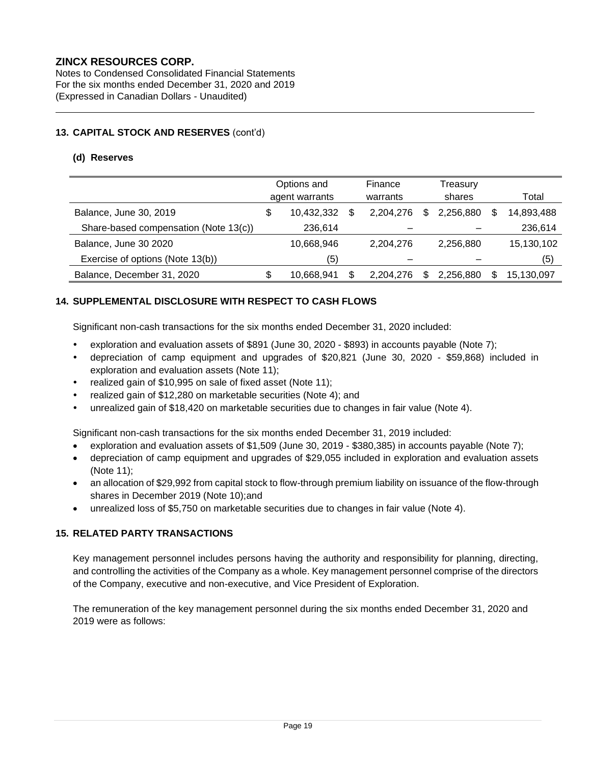Notes to Condensed Consolidated Financial Statements For the six months ended December 31, 2020 and 2019 (Expressed in Canadian Dollars - Unaudited)

## **13. CAPITAL STOCK AND RESERVES** (cont'd)

#### **(d) Reserves**

|                                       | Options and<br>agent warrants |            | Finance<br>warrants |           | Treasurv<br>shares |           |     | Total      |
|---------------------------------------|-------------------------------|------------|---------------------|-----------|--------------------|-----------|-----|------------|
| Balance, June 30, 2019                | \$                            | 10,432,332 | S                   | 2.204.276 | \$                 | 2.256.880 |     | 14,893,488 |
| Share-based compensation (Note 13(c)) |                               | 236,614    |                     |           |                    |           |     | 236,614    |
| Balance, June 30 2020                 |                               | 10,668,946 |                     | 2.204.276 |                    | 2.256.880 |     | 15,130,102 |
| Exercise of options (Note 13(b))      |                               | (5)        |                     |           |                    |           |     | (5)        |
| Balance, December 31, 2020            | \$                            | 10,668,941 | \$.                 | 2.204.276 | \$.                | 2.256.880 | \$. | 15,130,097 |

## **14. SUPPLEMENTAL DISCLOSURE WITH RESPECT TO CASH FLOWS**

Significant non-cash transactions for the six months ended December 31, 2020 included:

- exploration and evaluation assets of \$891 (June 30, 2020 \$893) in accounts payable (Note 7);
- depreciation of camp equipment and upgrades of \$20,821 (June 30, 2020 \$59,868) included in exploration and evaluation assets (Note 11);
- realized gain of \$10,995 on sale of fixed asset (Note 11);
- realized gain of \$12,280 on marketable securities (Note 4); and
- unrealized gain of \$18,420 on marketable securities due to changes in fair value (Note 4).

Significant non-cash transactions for the six months ended December 31, 2019 included:

- exploration and evaluation assets of \$1,509 (June 30, 2019 \$380,385) in accounts payable (Note 7);
- depreciation of camp equipment and upgrades of \$29,055 included in exploration and evaluation assets (Note 11);
- an allocation of \$29,992 from capital stock to flow-through premium liability on issuance of the flow-through shares in December 2019 (Note 10);and
- unrealized loss of \$5,750 on marketable securities due to changes in fair value (Note 4).

## **15. RELATED PARTY TRANSACTIONS**

Key management personnel includes persons having the authority and responsibility for planning, directing, and controlling the activities of the Company as a whole. Key management personnel comprise of the directors of the Company, executive and non-executive, and Vice President of Exploration.

The remuneration of the key management personnel during the six months ended December 31, 2020 and 2019 were as follows: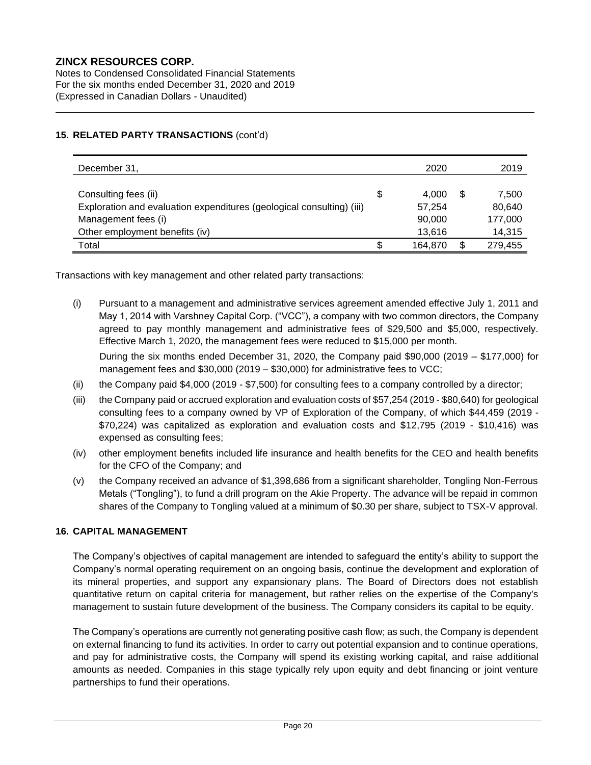Notes to Condensed Consolidated Financial Statements For the six months ended December 31, 2020 and 2019 (Expressed in Canadian Dollars - Unaudited)

## **15. RELATED PARTY TRANSACTIONS** (cont'd)

| December 31,                                                          |    | 2020    | 2019          |
|-----------------------------------------------------------------------|----|---------|---------------|
|                                                                       |    |         |               |
| Consulting fees (ii)                                                  | \$ | 4.000   | \$<br>7,500   |
| Exploration and evaluation expenditures (geological consulting) (iii) |    | 57.254  | 80,640        |
| Management fees (i)                                                   |    | 90,000  | 177,000       |
| Other employment benefits (iv)                                        |    | 13,616  | 14,315        |
| Total                                                                 | S  | 164.870 | \$<br>279,455 |

Transactions with key management and other related party transactions:

(i) Pursuant to a management and administrative services agreement amended effective July 1, 2011 and May 1, 2014 with Varshney Capital Corp. ("VCC"), a company with two common directors, the Company agreed to pay monthly management and administrative fees of \$29,500 and \$5,000, respectively. Effective March 1, 2020, the management fees were reduced to \$15,000 per month.

During the six months ended December 31, 2020, the Company paid \$90,000 (2019 – \$177,000) for management fees and \$30,000 (2019 – \$30,000) for administrative fees to VCC;

- (ii) the Company paid \$4,000 (2019 \$7,500) for consulting fees to a company controlled by a director;
- (iii) the Company paid or accrued exploration and evaluation costs of \$57,254 (2019 \$80,640) for geological consulting fees to a company owned by VP of Exploration of the Company, of which \$44,459 (2019 - \$70,224) was capitalized as exploration and evaluation costs and \$12,795 (2019 - \$10,416) was expensed as consulting fees;
- (iv) other employment benefits included life insurance and health benefits for the CEO and health benefits for the CFO of the Company; and
- (v) the Company received an advance of \$1,398,686 from a significant shareholder, Tongling Non-Ferrous Metals ("Tongling"), to fund a drill program on the Akie Property. The advance will be repaid in common shares of the Company to Tongling valued at a minimum of \$0.30 per share, subject to TSX-V approval.

## **16. CAPITAL MANAGEMENT**

The Company's objectives of capital management are intended to safeguard the entity's ability to support the Company's normal operating requirement on an ongoing basis, continue the development and exploration of its mineral properties, and support any expansionary plans. The Board of Directors does not establish quantitative return on capital criteria for management, but rather relies on the expertise of the Company's management to sustain future development of the business. The Company considers its capital to be equity.

The Company's operations are currently not generating positive cash flow; as such, the Company is dependent on external financing to fund its activities. In order to carry out potential expansion and to continue operations, and pay for administrative costs, the Company will spend its existing working capital, and raise additional amounts as needed. Companies in this stage typically rely upon equity and debt financing or joint venture partnerships to fund their operations.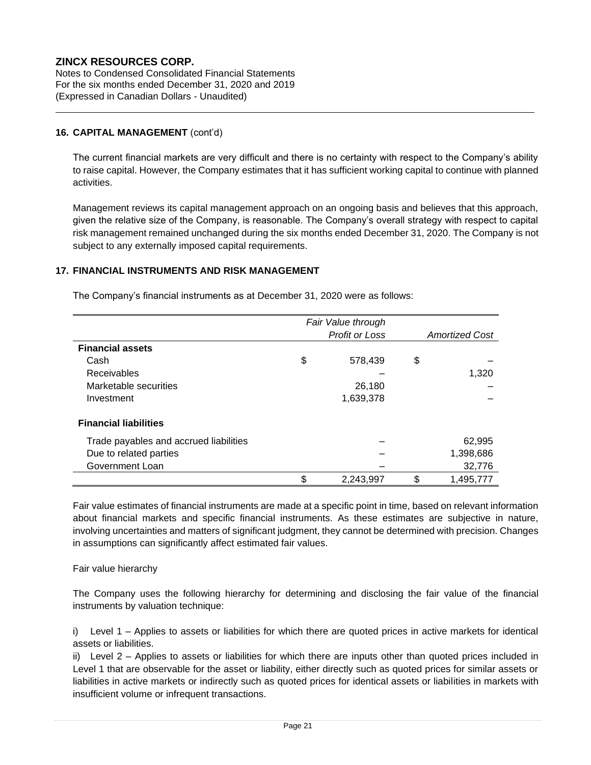Notes to Condensed Consolidated Financial Statements For the six months ended December 31, 2020 and 2019 (Expressed in Canadian Dollars - Unaudited)

## **16. CAPITAL MANAGEMENT** (cont'd)

The current financial markets are very difficult and there is no certainty with respect to the Company's ability to raise capital. However, the Company estimates that it has sufficient working capital to continue with planned activities.

Management reviews its capital management approach on an ongoing basis and believes that this approach, given the relative size of the Company, is reasonable. The Company's overall strategy with respect to capital risk management remained unchanged during the six months ended December 31, 2020. The Company is not subject to any externally imposed capital requirements.

## **17. FINANCIAL INSTRUMENTS AND RISK MANAGEMENT**

The Company's financial instruments as at December 31, 2020 were as follows:

|                                        | Fair Value through    |                       |
|----------------------------------------|-----------------------|-----------------------|
|                                        | <b>Profit or Loss</b> | <b>Amortized Cost</b> |
| <b>Financial assets</b>                |                       |                       |
| Cash                                   | \$<br>578,439         | \$                    |
| <b>Receivables</b>                     |                       | 1,320                 |
| Marketable securities                  | 26,180                |                       |
| Investment                             | 1,639,378             |                       |
| <b>Financial liabilities</b>           |                       |                       |
| Trade payables and accrued liabilities |                       | 62,995                |
| Due to related parties                 |                       | 1,398,686             |
| Government Loan                        |                       | 32,776                |
|                                        | \$<br>2,243,997       | \$<br>1,495,777       |

Fair value estimates of financial instruments are made at a specific point in time, based on relevant information about financial markets and specific financial instruments. As these estimates are subjective in nature, involving uncertainties and matters of significant judgment, they cannot be determined with precision. Changes in assumptions can significantly affect estimated fair values.

#### Fair value hierarchy

The Company uses the following hierarchy for determining and disclosing the fair value of the financial instruments by valuation technique:

i) Level 1 – Applies to assets or liabilities for which there are quoted prices in active markets for identical assets or liabilities.

ii) Level 2 – Applies to assets or liabilities for which there are inputs other than quoted prices included in Level 1 that are observable for the asset or liability, either directly such as quoted prices for similar assets or liabilities in active markets or indirectly such as quoted prices for identical assets or liabilities in markets with insufficient volume or infrequent transactions.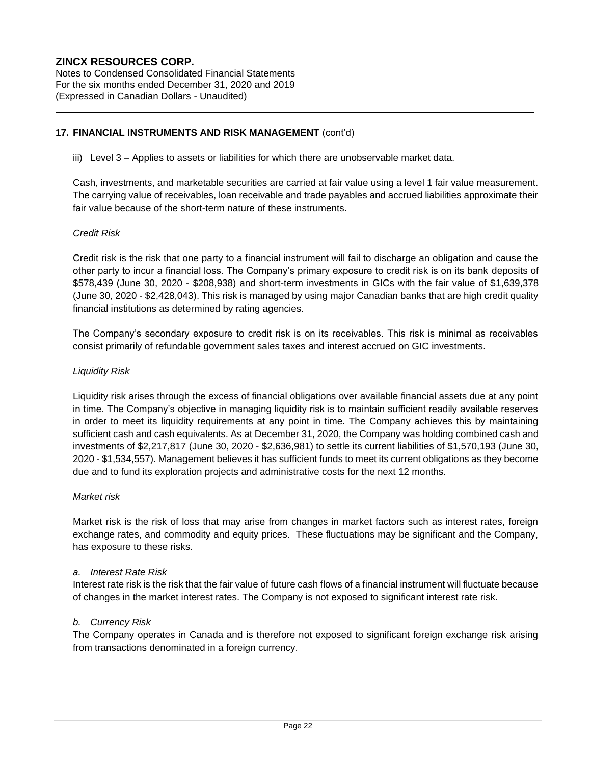Notes to Condensed Consolidated Financial Statements For the six months ended December 31, 2020 and 2019 (Expressed in Canadian Dollars - Unaudited)

#### **17. FINANCIAL INSTRUMENTS AND RISK MANAGEMENT** (cont'd)

iii) Level 3 – Applies to assets or liabilities for which there are unobservable market data.

Cash, investments, and marketable securities are carried at fair value using a level 1 fair value measurement. The carrying value of receivables, loan receivable and trade payables and accrued liabilities approximate their fair value because of the short-term nature of these instruments.

#### *Credit Risk*

Credit risk is the risk that one party to a financial instrument will fail to discharge an obligation and cause the other party to incur a financial loss. The Company's primary exposure to credit risk is on its bank deposits of \$578,439 (June 30, 2020 - \$208,938) and short-term investments in GICs with the fair value of \$1,639,378 (June 30, 2020 - \$2,428,043). This risk is managed by using major Canadian banks that are high credit quality financial institutions as determined by rating agencies.

The Company's secondary exposure to credit risk is on its receivables. This risk is minimal as receivables consist primarily of refundable government sales taxes and interest accrued on GIC investments.

#### *Liquidity Risk*

Liquidity risk arises through the excess of financial obligations over available financial assets due at any point in time. The Company's objective in managing liquidity risk is to maintain sufficient readily available reserves in order to meet its liquidity requirements at any point in time. The Company achieves this by maintaining sufficient cash and cash equivalents. As at December 31, 2020, the Company was holding combined cash and investments of \$2,217,817 (June 30, 2020 - \$2,636,981) to settle its current liabilities of \$1,570,193 (June 30, 2020 - \$1,534,557). Management believes it has sufficient funds to meet its current obligations as they become due and to fund its exploration projects and administrative costs for the next 12 months.

#### *Market risk*

Market risk is the risk of loss that may arise from changes in market factors such as interest rates, foreign exchange rates, and commodity and equity prices. These fluctuations may be significant and the Company, has exposure to these risks.

#### *a. Interest Rate Risk*

Interest rate risk is the risk that the fair value of future cash flows of a financial instrument will fluctuate because of changes in the market interest rates. The Company is not exposed to significant interest rate risk.

#### *b. Currency Risk*

The Company operates in Canada and is therefore not exposed to significant foreign exchange risk arising from transactions denominated in a foreign currency.